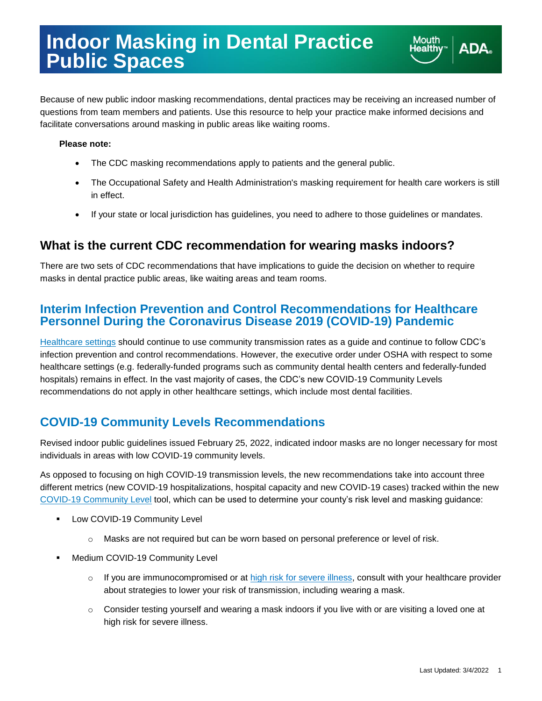Because of new public indoor masking recommendations, dental practices may be receiving an increased number of questions from team members and patients. Use this resource to help your practice make informed decisions and facilitate conversations around masking in public areas like waiting rooms.

#### **Please note:**

- The CDC masking recommendations apply to patients and the general public.
- The Occupational Safety and Health Administration's masking requirement for health care workers is still in effect.
- If your state or local jurisdiction has guidelines, you need to adhere to those guidelines or mandates.

### **What is the current CDC recommendation for wearing masks indoors?**

There are two sets of CDC recommendations that have implications to guide the decision on whether to require masks in dental practice public areas, like waiting areas and team rooms.

### **Interim Infection Prevention and Control Recommendations for Healthcare Personnel During the Coronavirus Disease 2019 (COVID-19) Pandemic**

[Healthcare settings](https://www.cdc.gov/coronavirus/2019-ncov/hcp/infection-control-recommendations.html) should continue to use community transmission rates as a guide and continue to follow CDC's infection prevention and control recommendations. However, the executive order under OSHA with respect to some healthcare settings (e.g. federally-funded programs such as community dental health centers and federally-funded hospitals) remains in effect. In the vast majority of cases, the CDC's new COVID-19 Community Levels recommendations do not apply in other healthcare settings, which include most dental facilities.

## **COVID-19 Community Levels Recommendations**

Revised indoor public guidelines issued February 25, 2022, indicated indoor masks are no longer necessary for most individuals in areas with low COVID-19 community levels.

As opposed to focusing on high COVID-19 transmission levels, the new recommendations take into account three different metrics (new COVID-19 hospitalizations, hospital capacity and new COVID-19 cases) tracked within the new [COVID-19 Community Level](https://www.cdc.gov/coronavirus/2019-ncov/your-health/covid-by-county.html) tool, which can be used to determine your county's risk level and masking guidance:

- **EXECOVID-19 Community Level** 
	- o Masks are not required but can be worn based on personal preference or level of risk.
- **Medium COVID-19 Community Level** 
	- o If you are immunocompromised or at [high risk for severe illness,](https://www.cdc.gov/coronavirus/2019-ncov/need-extra-precautions/people-with-medical-conditions.html) consult with your healthcare provider about strategies to lower your risk of transmission, including wearing a mask.
	- $\circ$  Consider testing yourself and wearing a mask indoors if you live with or are visiting a loved one at high risk for severe illness.

**Mouth** 

lealth\

**ADA**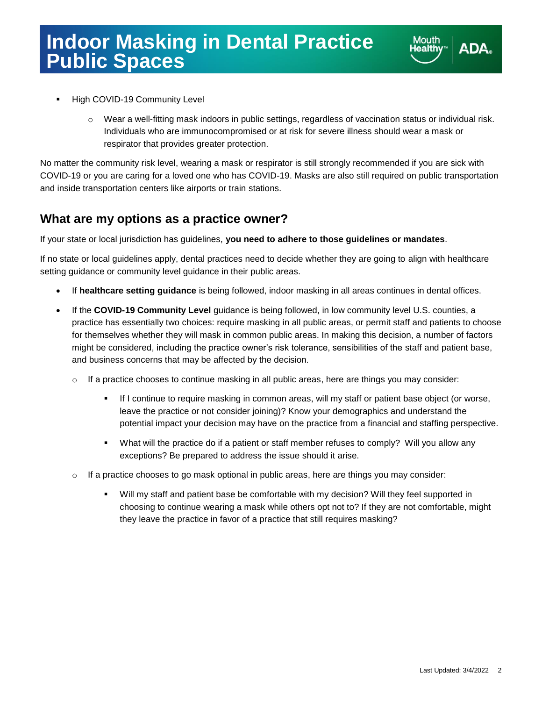

- High COVID-19 Community Level
	- $\circ$  Wear a well-fitting mask indoors in public settings, regardless of vaccination status or individual risk. Individuals who are immunocompromised or at risk for severe illness should wear a mask or respirator that provides greater protection.

No matter the community risk level, wearing a mask or respirator is still strongly recommended if you are sick with COVID-19 or you are caring for a loved one who has COVID-19. Masks are also still required on public transportation and inside transportation centers like airports or train stations.

### **What are my options as a practice owner?**

If your state or local jurisdiction has guidelines, **you need to adhere to those guidelines or mandates**.

If no state or local guidelines apply, dental practices need to decide whether they are going to align with healthcare setting guidance or community level guidance in their public areas.

- If **healthcare setting guidance** is being followed, indoor masking in all areas continues in dental offices.
- If the **COVID-19 Community Level** guidance is being followed, in low community level U.S. counties, a practice has essentially two choices: require masking in all public areas, or permit staff and patients to choose for themselves whether they will mask in common public areas. In making this decision, a number of factors might be considered, including the practice owner's risk tolerance, sensibilities of the staff and patient base, and business concerns that may be affected by the decision.
	- $\circ$  If a practice chooses to continue masking in all public areas, here are things you may consider:
		- If I continue to require masking in common areas, will my staff or patient base object (or worse, leave the practice or not consider joining)? Know your demographics and understand the potential impact your decision may have on the practice from a financial and staffing perspective.
		- What will the practice do if a patient or staff member refuses to comply? Will you allow any exceptions? Be prepared to address the issue should it arise.
	- $\circ$  If a practice chooses to go mask optional in public areas, here are things you may consider:
		- Will my staff and patient base be comfortable with my decision? Will they feel supported in choosing to continue wearing a mask while others opt not to? If they are not comfortable, might they leave the practice in favor of a practice that still requires masking?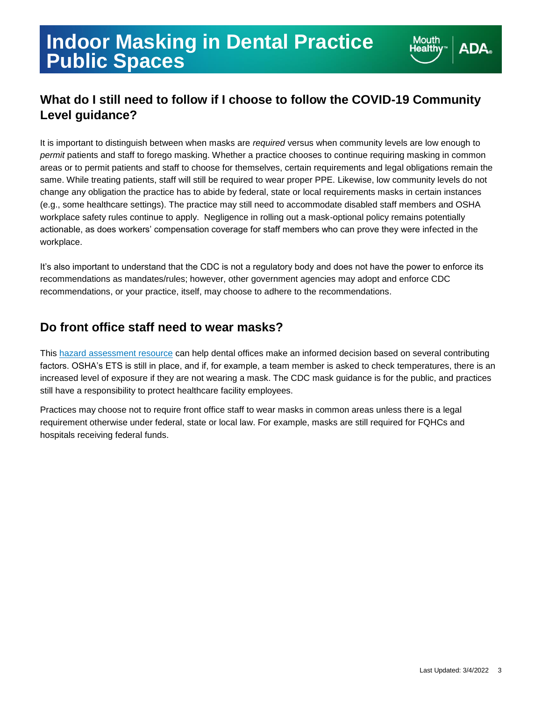# **What do I still need to follow if I choose to follow the COVID-19 Community Level guidance?**

It is important to distinguish between when masks are *required* versus when community levels are low enough to *permit* patients and staff to forego masking. Whether a practice chooses to continue requiring masking in common areas or to permit patients and staff to choose for themselves, certain requirements and legal obligations remain the same. While treating patients, staff will still be required to wear proper PPE. Likewise, low community levels do not change any obligation the practice has to abide by federal, state or local requirements masks in certain instances (e.g., some healthcare settings). The practice may still need to accommodate disabled staff members and OSHA workplace safety rules continue to apply. Negligence in rolling out a mask-optional policy remains potentially actionable, as does workers' compensation coverage for staff members who can prove they were infected in the workplace.

It's also important to understand that the CDC is not a regulatory body and does not have the power to enforce its recommendations as mandates/rules; however, other government agencies may adopt and enforce CDC recommendations, or your practice, itself, may choose to adhere to the recommendations.

## **Do front office staff need to wear masks?**

This [hazard assessment resource](https://www.ada.org/-/media/project/ada-organization/ada/ada-org/files/resources/coronavirus/covid-19-practice-resources/ada_covid-19_hazard_assessment.pdf) can help dental offices make an informed decision based on several contributing factors. OSHA's ETS is still in place, and if, for example, a team member is asked to check temperatures, there is an increased level of exposure if they are not wearing a mask. The CDC mask guidance is for the public, and practices still have a responsibility to protect healthcare facility employees.

Practices may choose not to require front office staff to wear masks in common areas unless there is a legal requirement otherwise under federal, state or local law. For example, masks are still required for FQHCs and hospitals receiving federal funds.

**Mouth** 

lealthy

**ADA**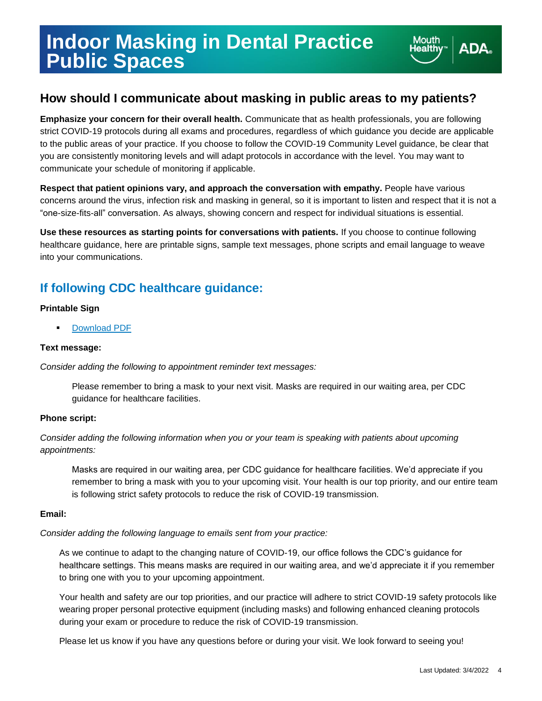# **Indoor Masking in Dental Practice Public Spaces**



## **How should I communicate about masking in public areas to my patients?**

**Emphasize your concern for their overall health.** Communicate that as health professionals, you are following strict COVID-19 protocols during all exams and procedures, regardless of which guidance you decide are applicable to the public areas of your practice. If you choose to follow the COVID-19 Community Level guidance, be clear that you are consistently monitoring levels and will adapt protocols in accordance with the level. You may want to communicate your schedule of monitoring if applicable.

**Respect that patient opinions vary, and approach the conversation with empathy.** People have various concerns around the virus, infection risk and masking in general, so it is important to listen and respect that it is not a "one-size-fits-all" conversation. As always, showing concern and respect for individual situations is essential.

**Use these resources as starting points for conversations with patients.** If you choose to continue following healthcare guidance, here are printable signs, sample text messages, phone scripts and email language to weave into your communications.

# **If following CDC healthcare guidance:**

#### **Printable Sign**

**[Download PDF](https://www.ada.org/~/media/Project/ADA%20Organization/ADA/ADA-org/Files/Resources/Coronavirus/COVID-19%20Masks/ADA_COVID_PRRC_Signs_MaskWaitingArea)** 

#### **Text message:**

*Consider adding the following to appointment reminder text messages:*

Please remember to bring a mask to your next visit. Masks are required in our waiting area, per CDC guidance for healthcare facilities.

#### **Phone script:**

*Consider adding the following information when you or your team is speaking with patients about upcoming appointments:*

Masks are required in our waiting area, per CDC guidance for healthcare facilities. We'd appreciate if you remember to bring a mask with you to your upcoming visit. Your health is our top priority, and our entire team is following strict safety protocols to reduce the risk of COVID-19 transmission.

#### **Email:**

*Consider adding the following language to emails sent from your practice:*

As we continue to adapt to the changing nature of COVID-19, our office follows the CDC's guidance for healthcare settings. This means masks are required in our waiting area, and we'd appreciate it if you remember to bring one with you to your upcoming appointment.

Your health and safety are our top priorities, and our practice will adhere to strict COVID-19 safety protocols like wearing proper personal protective equipment (including masks) and following enhanced cleaning protocols during your exam or procedure to reduce the risk of COVID-19 transmission.

Please let us know if you have any questions before or during your visit. We look forward to seeing you!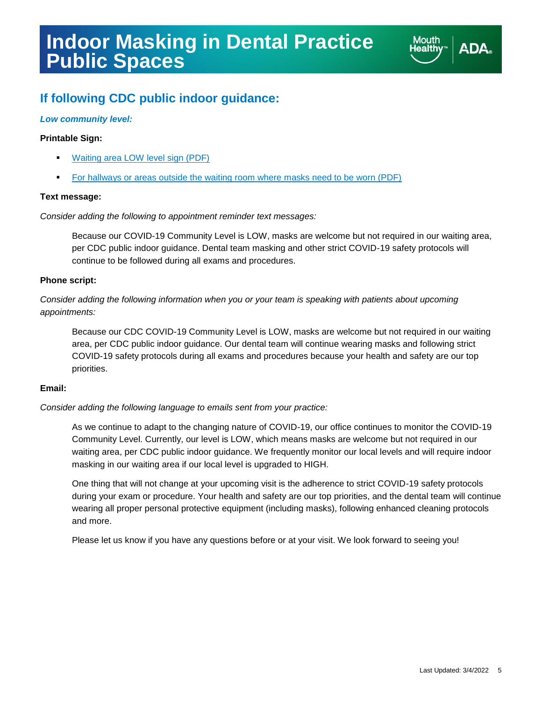# **Indoor Masking in Dental Practice Public Spaces**



# **If following CDC public indoor guidance:**

#### *Low community level:*

#### **Printable Sign:**

- [Waiting area LOW level sign \(PDF\)](https://www.ada.org/~/media/Project/ADA%20Organization/ADA/ADA-org/Files/Resources/Coronavirus/COVID-19%20Masks/ADA_COVID_PRRC_Signs_Level_Low)
- For [hallways or areas outside the waiting room](https://www.ada.org/~/media/Project/ADA%20Organization/ADA/ADA-org/Files/Resources/Coronavirus/COVID-19%20Masks/ADA_COVID_PRRC_Signs_MasksRequired) where masks need to be worn (PDF)

#### **Text message:**

#### *Consider adding the following to appointment reminder text messages:*

Because our COVID-19 Community Level is LOW, masks are welcome but not required in our waiting area, per CDC public indoor guidance. Dental team masking and other strict COVID-19 safety protocols will continue to be followed during all exams and procedures.

#### **Phone script:**

*Consider adding the following information when you or your team is speaking with patients about upcoming appointments:*

Because our CDC COVID-19 Community Level is LOW, masks are welcome but not required in our waiting area, per CDC public indoor guidance. Our dental team will continue wearing masks and following strict COVID-19 safety protocols during all exams and procedures because your health and safety are our top priorities.

#### **Email:**

#### *Consider adding the following language to emails sent from your practice:*

As we continue to adapt to the changing nature of COVID-19, our office continues to monitor the COVID-19 Community Level. Currently, our level is LOW, which means masks are welcome but not required in our waiting area, per CDC public indoor guidance. We frequently monitor our local levels and will require indoor masking in our waiting area if our local level is upgraded to HIGH.

One thing that will not change at your upcoming visit is the adherence to strict COVID-19 safety protocols during your exam or procedure. Your health and safety are our top priorities, and the dental team will continue wearing all proper personal protective equipment (including masks), following enhanced cleaning protocols and more.

Please let us know if you have any questions before or at your visit. We look forward to seeing you!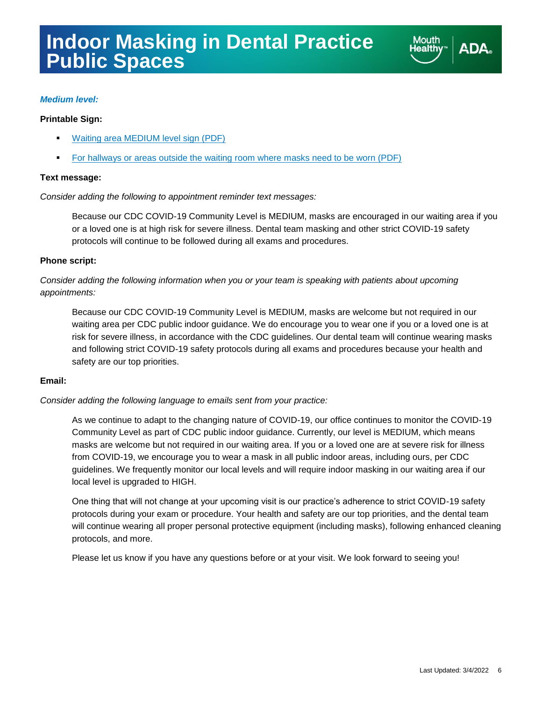

#### *Medium level:*

#### **Printable Sign:**

- **[Waiting area MEDIUM level sign](https://www.ada.org/~/media/Project/ADA%20Organization/ADA/ADA-org/Files/Resources/Coronavirus/COVID-19%20Masks/ADA_COVID_PRRC_Signs_Level_Medium) (PDF)**
- For [hallways or areas outside the waiting room](https://www.ada.org/~/media/Project/ADA%20Organization/ADA/ADA-org/Files/Resources/Coronavirus/COVID-19%20Masks/ADA_COVID_PRRC_Signs_MasksRequired) where masks need to be worn (PDF)

#### **Text message:**

*Consider adding the following to appointment reminder text messages:*

Because our CDC COVID-19 Community Level is MEDIUM, masks are encouraged in our waiting area if you or a loved one is at high risk for severe illness. Dental team masking and other strict COVID-19 safety protocols will continue to be followed during all exams and procedures.

#### **Phone script:**

*Consider adding the following information when you or your team is speaking with patients about upcoming appointments:*

Because our CDC COVID-19 Community Level is MEDIUM, masks are welcome but not required in our waiting area per CDC public indoor guidance. We do encourage you to wear one if you or a loved one is at risk for severe illness, in accordance with the CDC guidelines. Our dental team will continue wearing masks and following strict COVID-19 safety protocols during all exams and procedures because your health and safety are our top priorities.

#### **Email:**

*Consider adding the following language to emails sent from your practice:*

As we continue to adapt to the changing nature of COVID-19, our office continues to monitor the COVID-19 Community Level as part of CDC public indoor guidance. Currently, our level is MEDIUM, which means masks are welcome but not required in our waiting area. If you or a loved one are at severe risk for illness from COVID-19, we encourage you to wear a mask in all public indoor areas, including ours, per CDC guidelines. We frequently monitor our local levels and will require indoor masking in our waiting area if our local level is upgraded to HIGH.

One thing that will not change at your upcoming visit is our practice's adherence to strict COVID-19 safety protocols during your exam or procedure. Your health and safety are our top priorities, and the dental team will continue wearing all proper personal protective equipment (including masks), following enhanced cleaning protocols, and more.

Please let us know if you have any questions before or at your visit. We look forward to seeing you!